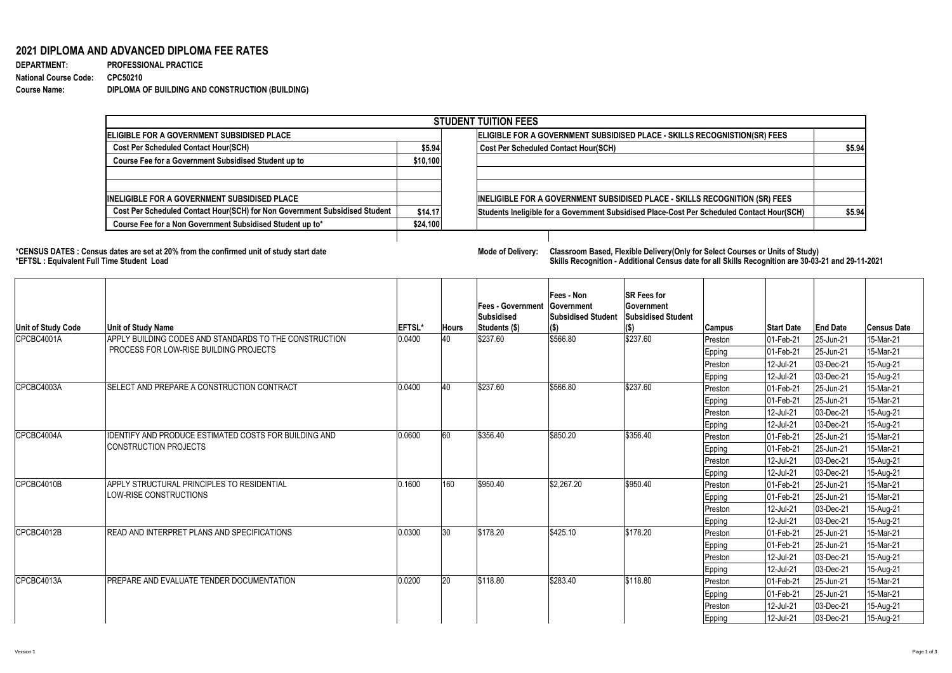## **2021 DIPLOMA AND ADVANCED DIPLOMA FEE RATES**

| <b>DEPARTMENT:</b>           | <b>PROFESSIONAL PRACTICE</b>                    |
|------------------------------|-------------------------------------------------|
| <b>National Course Code:</b> | CPC50210                                        |
| <b>Course Name:</b>          | DIPLOMA OF BUILDING AND CONSTRUCTION (BUILDING) |

**\*CENSUS DATES : Census dates are set at 20% from the confirmed unit of study start date Mode of Delivery: Classroom Based, Flexible Delivery(Only for Select Courses or Units of Study)**

## **\*EFTSL : Equivalent Full Time Student Load Skills Recognition - Additional Census date for all Skills Recognition are 30-03-21 and 29-11-2021**

| <b>STUDENT TUITION FEES</b>                                                |          |                                                                                            |         |  |  |  |  |  |
|----------------------------------------------------------------------------|----------|--------------------------------------------------------------------------------------------|---------|--|--|--|--|--|
| <b>ELIGIBLE FOR A GOVERNMENT SUBSIDISED PLACE</b>                          |          | ELIGIBLE FOR A GOVERNMENT SUBSIDISED PLACE - SKILLS RECOGNISTION(SR) FEES                  |         |  |  |  |  |  |
| <b>Cost Per Scheduled Contact Hour(SCH)</b><br>\$5.94                      |          | <b>Cost Per Scheduled Contact Hour(SCH)</b>                                                | \$5.94] |  |  |  |  |  |
| <b>Course Fee for a Government Subsidised Student up to</b><br>\$10,100    |          |                                                                                            |         |  |  |  |  |  |
|                                                                            |          |                                                                                            |         |  |  |  |  |  |
|                                                                            |          |                                                                                            |         |  |  |  |  |  |
| <b>INELIGIBLE FOR A GOVERNMENT SUBSIDISED PLACE</b>                        |          | INELIGIBLE FOR A GOVERNMENT SUBSIDISED PLACE - SKILLS RECOGNITION (SR) FEES                |         |  |  |  |  |  |
| Cost Per Scheduled Contact Hour(SCH) for Non Government Subsidised Student | \$14.17  | Students Ineligible for a Government Subsidised Place-Cost Per Scheduled Contact Hour(SCH) | \$5.94] |  |  |  |  |  |
| Course Fee for a Non Government Subsidised Student up to*                  | \$24,100 |                                                                                            |         |  |  |  |  |  |

| <b>Unit of Study Code</b> | <b>Unit of Study Name</b>                                                             | <b>EFTSL*</b> | <b>Hours</b> | <b> Fees - Government</b><br> Subsidised<br>Students (\$) | Fees - Non<br><b>Sovernment</b><br><b>Subsidised Student</b><br>$\vert$ (\$) | <b>SR Fees for</b><br><b>Government</b><br><b>Subsidised Student</b> | <b>Campus</b> | <b>Start Date</b> | <b>End Date</b> | <b>Census Date</b> |
|---------------------------|---------------------------------------------------------------------------------------|---------------|--------------|-----------------------------------------------------------|------------------------------------------------------------------------------|----------------------------------------------------------------------|---------------|-------------------|-----------------|--------------------|
| CPCBC4001A                | APPLY BUILDING CODES AND STANDARDS TO THE CONSTRUCTION                                | 0.0400        | 140          | \$237.60                                                  | \$566.80                                                                     | \$237.60                                                             | Preston       | 01-Feb-21         | 25-Jun-21       | 15-Mar-21          |
|                           | PROCESS FOR LOW-RISE BUILDING PROJECTS                                                |               |              |                                                           |                                                                              |                                                                      | <b>Epping</b> | 01-Feb-21         | 25-Jun-21       | 15-Mar-21          |
|                           |                                                                                       |               |              |                                                           |                                                                              |                                                                      | Preston       | 12-Jul-21         | 03-Dec-21       | 15-Aug-21          |
|                           |                                                                                       |               |              |                                                           |                                                                              |                                                                      | <b>Epping</b> | 12-Jul-21         | 03-Dec-21       | 15-Aug-21          |
| CPCBC4003A                | <b>SELECT AND PREPARE A CONSTRUCTION CONTRACT</b>                                     | 0.0400        | 140          | \$237.60                                                  | \$566.80                                                                     | \$237.60                                                             | Preston       | $ 01 - Feb - 21 $ | 25-Jun-21       | 15-Mar-21          |
|                           |                                                                                       |               |              |                                                           |                                                                              |                                                                      | <b>Epping</b> | 01-Feb-21         | 25-Jun-21       | 15-Mar-21          |
|                           |                                                                                       |               |              |                                                           |                                                                              |                                                                      | Preston       | 12-Jul-21         | 03-Dec-21       | 15-Aug-21          |
|                           |                                                                                       |               |              |                                                           |                                                                              |                                                                      | <b>Epping</b> | 12-Jul-21         | 03-Dec-21       | 15-Aug-21          |
| CPCBC4004A                | IDENTIFY AND PRODUCE ESTIMATED COSTS FOR BUILDING AND<br><b>CONSTRUCTION PROJECTS</b> | 0.0600        | 60           | \$356.40                                                  | \$850.20                                                                     | \$356.40                                                             | Preston       | 01-Feb-21         | $ 25 - Jun-21 $ | 15-Mar-21          |
|                           |                                                                                       |               |              |                                                           |                                                                              |                                                                      | <b>Epping</b> | 01-Feb-21         | 25-Jun-21       | 15-Mar-21          |
|                           |                                                                                       |               |              |                                                           |                                                                              |                                                                      | Preston       | 12-Jul-21         | 03-Dec-21       | 15-Aug-21          |
|                           |                                                                                       |               |              |                                                           |                                                                              |                                                                      | <b>Epping</b> | 12-Jul-21         | 03-Dec-21       | 15-Aug-21          |
| CPCBC4010B                | APPLY STRUCTURAL PRINCIPLES TO RESIDENTIAL<br><b>LOW-RISE CONSTRUCTIONS</b>           | 0.1600        | 160          | \$950.40                                                  | \$2,267.20                                                                   | \$950.40                                                             | Preston       | 01-Feb-21         | 25-Jun-21       | 15-Mar-21          |
|                           |                                                                                       |               |              |                                                           |                                                                              |                                                                      | <b>Epping</b> | 01-Feb-21         | 25-Jun-21       | 15-Mar-21          |
|                           |                                                                                       |               |              |                                                           |                                                                              |                                                                      | Preston       | 12-Jul-21         | 03-Dec-21       | 15-Aug-21          |
|                           |                                                                                       |               |              |                                                           |                                                                              |                                                                      | <b>Epping</b> | 12-Jul-21         | 03-Dec-21       | 15-Aug-21          |
| CPCBC4012B                | <b>READ AND INTERPRET PLANS AND SPECIFICATIONS</b>                                    | 0.0300        | 30           | \$178.20                                                  | \$425.10                                                                     | \$178.20                                                             | Preston       | $ 01 - Feb - 21 $ | 25-Jun-21       | 15-Mar-21          |
|                           |                                                                                       |               |              |                                                           |                                                                              |                                                                      | <b>Epping</b> | $ 01 - Feb - 21 $ | 25-Jun-21       | 15-Mar-21          |
|                           |                                                                                       |               |              |                                                           |                                                                              |                                                                      | Preston       | 12-Jul-21         | 03-Dec-21       | 15-Aug-21          |
|                           |                                                                                       |               |              |                                                           |                                                                              |                                                                      | <b>Epping</b> | 12-Jul-21         | 03-Dec-21       | 15-Aug-21          |
| CPCBC4013A                | PREPARE AND EVALUATE TENDER DOCUMENTATION                                             | 0.0200        | 20           | \$118.80                                                  | \$283.40                                                                     | \$118.80                                                             | Preston       | $ 01 - Feb - 21 $ | 25-Jun-21       | 15-Mar-21          |
|                           |                                                                                       |               |              |                                                           |                                                                              |                                                                      | Epping        | 01-Feb-21         | 25-Jun-21       | 15-Mar-21          |
|                           |                                                                                       |               |              |                                                           |                                                                              |                                                                      | Preston       | 12-Jul-21         | 03-Dec-21       | 15-Aug-21          |
|                           |                                                                                       |               |              |                                                           |                                                                              |                                                                      | Epping        | 12-Jul-21         | 03-Dec-21       | 15-Aug-21          |

| Version 1 |  |  | Page 1 of 3 |
|-----------|--|--|-------------|
|           |  |  |             |

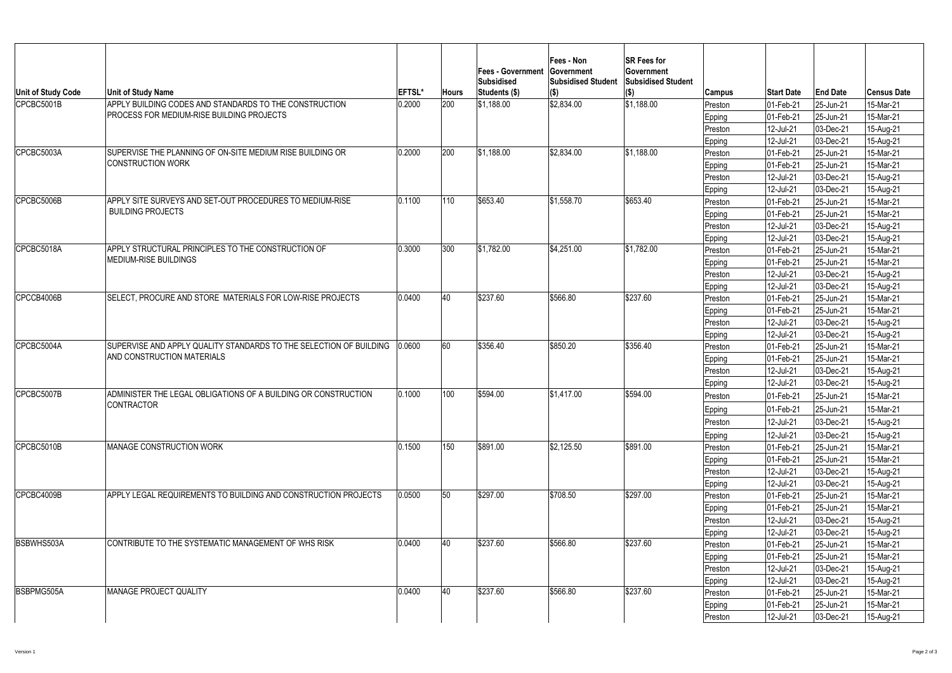| Unit of Study Code | <b>Unit of Study Name</b>                                                                               | <b>EFTSL*</b> | <b>Hours</b>  | <b>Fees - Government</b><br> Subsidised<br>Students (\$) | Fees - Non<br><b>Sovernment</b><br><b>Subsidised Student</b><br>$\vert (\$)$ | <b>SR Fees for</b><br><b>Government</b><br><b>Subsidised Student</b><br>$(\Phi)$ | <b>Campus</b> | <b>Start Date</b> | <b>End Date</b> | <b>Census Date</b> |
|--------------------|---------------------------------------------------------------------------------------------------------|---------------|---------------|----------------------------------------------------------|------------------------------------------------------------------------------|----------------------------------------------------------------------------------|---------------|-------------------|-----------------|--------------------|
| CPCBC5001B         | APPLY BUILDING CODES AND STANDARDS TO THE CONSTRUCTION                                                  | 0.2000        | 200           | \$1,188.00                                               | \$2,834.00                                                                   | \$1,188.00                                                                       | Preston       | 01-Feb-21         | 25-Jun-21       | 15-Mar-21          |
|                    | <b>PROCESS FOR MEDIUM-RISE BUILDING PROJECTS</b>                                                        |               |               |                                                          |                                                                              |                                                                                  | <b>Epping</b> | 01-Feb-21         | 25-Jun-21       | 15-Mar-21          |
|                    |                                                                                                         |               |               |                                                          |                                                                              |                                                                                  | Preston       | 12-Jul-21         | 03-Dec-21       | 15-Aug-21          |
|                    |                                                                                                         |               |               |                                                          |                                                                              |                                                                                  | <b>Epping</b> | 12-Jul-21         | 03-Dec-21       | 15-Aug-21          |
| CPCBC5003A         | SUPERVISE THE PLANNING OF ON-SITE MEDIUM RISE BUILDING OR                                               | 0.2000        | 200           | \$1,188.00                                               | \$2,834.00                                                                   | \$1,188.00                                                                       | Preston       | 01-Feb-21         | 25-Jun-21       | 15-Mar-21          |
|                    | <b>CONSTRUCTION WORK</b>                                                                                |               |               |                                                          |                                                                              |                                                                                  | <b>Epping</b> | 01-Feb-21         | 25-Jun-21       | 15-Mar-21          |
|                    |                                                                                                         |               |               |                                                          |                                                                              |                                                                                  | Preston       | 12-Jul-21         | 03-Dec-21       | 15-Aug-21          |
|                    |                                                                                                         |               |               |                                                          |                                                                              |                                                                                  | <b>Epping</b> | 12-Jul-21         | 03-Dec-21       | 15-Aug-21          |
| CPCBC5006B         | APPLY SITE SURVEYS AND SET-OUT PROCEDURES TO MEDIUM-RISE                                                | 0.1100        | 110           | \$653.40                                                 | \$1,558.70                                                                   | \$653.40                                                                         | Preston       | 01-Feb-21         | 25-Jun-21       | 15-Mar-21          |
|                    | <b>BUILDING PROJECTS</b>                                                                                |               |               |                                                          |                                                                              |                                                                                  | <b>Epping</b> | 01-Feb-21         | 25-Jun-21       | 15-Mar-21          |
|                    |                                                                                                         |               |               |                                                          |                                                                              |                                                                                  | Preston       | 12-Jul-21         | 03-Dec-21       | 15-Aug-21          |
|                    |                                                                                                         |               |               |                                                          |                                                                              |                                                                                  | <b>Epping</b> | 12-Jul-21         | 03-Dec-21       | 15-Aug-21          |
| CPCBC5018A         | APPLY STRUCTURAL PRINCIPLES TO THE CONSTRUCTION OF                                                      | 0.3000        | 300           | \$1,782.00                                               | \$4,251.00                                                                   | \$1,782.00                                                                       | Preston       | 01-Feb-21         | 25-Jun-21       | 15-Mar-21          |
|                    | <b>MEDIUM-RISE BUILDINGS</b>                                                                            |               |               |                                                          |                                                                              |                                                                                  | <b>Epping</b> | $ 01 - Feb - 21 $ | 25-Jun-21       | 15-Mar-21          |
|                    |                                                                                                         |               |               |                                                          |                                                                              |                                                                                  | Preston       | 12-Jul-21         | 03-Dec-21       | 15-Aug-21          |
|                    |                                                                                                         |               |               |                                                          |                                                                              |                                                                                  | <b>Epping</b> | 12-Jul-21         | 03-Dec-21       | 15-Aug-21          |
| CPCCB4006B         | SELECT, PROCURE AND STORE MATERIALS FOR LOW-RISE PROJECTS                                               | 0.0400        | 40            | \$237.60                                                 | \$566.80                                                                     | \$237.60                                                                         | Preston       | 01-Feb-21         | 25-Jun-21       | 15-Mar-21          |
|                    |                                                                                                         |               |               |                                                          |                                                                              |                                                                                  | Epping        | 01-Feb-21         | 25-Jun-21       | 15-Mar-21          |
|                    |                                                                                                         |               |               |                                                          |                                                                              |                                                                                  | Preston       | 12-Jul-21         | 03-Dec-21       | 15-Aug-21          |
|                    |                                                                                                         |               |               |                                                          |                                                                              |                                                                                  | <b>Epping</b> | 12-Jul-21         | 03-Dec-21       | 15-Aug-21          |
| CPCBC5004A         | SUPERVISE AND APPLY QUALITY STANDARDS TO THE SELECTION OF BUILDING<br><b>AND CONSTRUCTION MATERIALS</b> | 0.0600        | 60            | \$356.40                                                 | \$850.20                                                                     | \$356.40                                                                         | Preston       | 01-Feb-21         | 25-Jun-21       | 15-Mar-21          |
|                    |                                                                                                         |               |               |                                                          |                                                                              |                                                                                  | <b>Epping</b> | 01-Feb-21         | 25-Jun-21       | 15-Mar-21          |
|                    |                                                                                                         |               |               |                                                          |                                                                              |                                                                                  | Preston       | 12-Jul-21         | 03-Dec-21       | 15-Aug-21          |
|                    |                                                                                                         |               |               |                                                          |                                                                              |                                                                                  | <b>Epping</b> | 12-Jul-21         | 03-Dec-21       | 15-Aug-21          |
| CPCBC5007B         | ADMINISTER THE LEGAL OBLIGATIONS OF A BUILDING OR CONSTRUCTION                                          | 0.1000        | 100           | \$594.00                                                 | \$1,417.00                                                                   | \$594.00                                                                         | Preston       | 01-Feb-21         | 25-Jun-21       | 15-Mar-21          |
|                    | CONTRACTOR                                                                                              |               |               |                                                          |                                                                              |                                                                                  | <b>Epping</b> | 01-Feb-21         | 25-Jun-21       | 15-Mar-21          |
|                    |                                                                                                         |               |               |                                                          |                                                                              |                                                                                  | Preston       | 12-Jul-21         | 03-Dec-21       | 15-Aug-21          |
|                    |                                                                                                         |               |               |                                                          |                                                                              |                                                                                  | <b>Epping</b> | 12-Jul-21         | 03-Dec-21       | 15-Aug-21          |
| CPCBC5010B         | <b>IMANAGE CONSTRUCTION WORK</b>                                                                        | 0.1500        | 150           | \$891.00                                                 | \$2,125.50                                                                   | \$891.00                                                                         | Preston       | 01-Feb-21         | 25-Jun-21       | 15-Mar-21          |
|                    |                                                                                                         |               |               |                                                          |                                                                              |                                                                                  | <b>Epping</b> | 01-Feb-21         | 25-Jun-21       | 15-Mar-21          |
|                    |                                                                                                         |               |               |                                                          |                                                                              |                                                                                  | Preston       | 12-Jul-21         | 03-Dec-21       | 15-Aug-21          |
|                    |                                                                                                         |               |               |                                                          |                                                                              |                                                                                  | <b>Epping</b> | 12-Jul-21         | 03-Dec-21       | 15-Aug-21          |
| CPCBC4009B         | APPLY LEGAL REQUIREMENTS TO BUILDING AND CONSTRUCTION PROJECTS                                          | 0.0500        | 50            | \$297.00                                                 | \$708.50                                                                     | \$297.00                                                                         | Preston       | 01-Feb-21         | 25-Jun-21       | 15-Mar-21          |
|                    |                                                                                                         |               |               |                                                          |                                                                              |                                                                                  | <b>Epping</b> | 01-Feb-21         | 25-Jun-21       | 15-Mar-21          |
|                    |                                                                                                         |               |               |                                                          |                                                                              |                                                                                  | Preston       | 12-Jul-21         | 03-Dec-21       | 15-Aug-21          |
|                    |                                                                                                         |               |               |                                                          |                                                                              |                                                                                  | <b>Epping</b> | 12-Jul-21         | 03-Dec-21       | 15-Aug-21          |
| <b>BSBWHS503A</b>  | CONTRIBUTE TO THE SYSTEMATIC MANAGEMENT OF WHS RISK                                                     | 0.0400        | <sup>40</sup> | \$237.60                                                 | 1\$566.80                                                                    | \$237.60                                                                         | Preston       | 01-Feb-21         | 25-Jun-21       | 15-Mar-21          |
|                    |                                                                                                         |               |               |                                                          |                                                                              |                                                                                  | <b>Epping</b> | $ 01 - Feb - 21 $ | 25-Jun-21       | 15-Mar-21          |
|                    |                                                                                                         |               |               |                                                          |                                                                              |                                                                                  | Preston       | 12-Jul-21         | 03-Dec-21       | 15-Aug-21          |
|                    |                                                                                                         |               |               |                                                          |                                                                              |                                                                                  | <b>Epping</b> | 12-Jul-21         | 03-Dec-21       | 15-Aug-21          |
| <b>IBSBPMG505A</b> | MANAGE PROJECT QUALITY                                                                                  | 0.0400        | 40            | \$237.60                                                 | \$566.80                                                                     | \$237.60                                                                         | Preston       | 01-Feb-21         | 25-Jun-21       | 15-Mar-21          |
|                    |                                                                                                         |               |               |                                                          |                                                                              |                                                                                  | <b>Epping</b> | 01-Feb-21         | 25-Jun-21       | 15-Mar-21          |
|                    |                                                                                                         |               |               |                                                          |                                                                              |                                                                                  | Preston       | 12-Jul-21         | $ 03$ -Dec-21   | 15-Aug-21          |